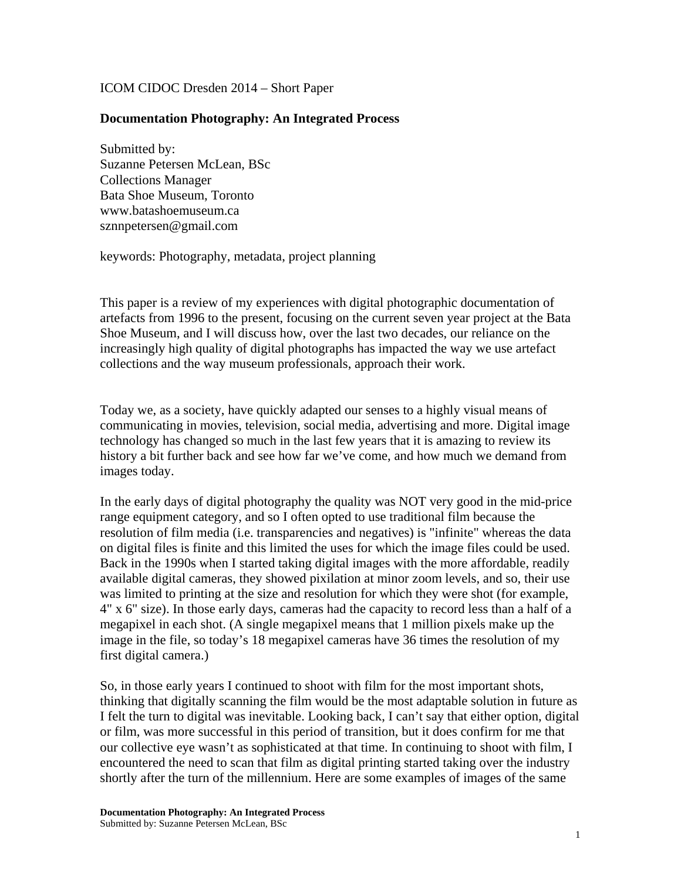## ICOM CIDOC Dresden 2014 – Short Paper

## **Documentation Photography: An Integrated Process**

Submitted by: Suzanne Petersen McLean, BSc Collections Manager Bata Shoe Museum, Toronto www.batashoemuseum.ca sznnpetersen@gmail.com

keywords: Photography, metadata, project planning

This paper is a review of my experiences with digital photographic documentation of artefacts from 1996 to the present, focusing on the current seven year project at the Bata Shoe Museum, and I will discuss how, over the last two decades, our reliance on the increasingly high quality of digital photographs has impacted the way we use artefact collections and the way museum professionals, approach their work.

Today we, as a society, have quickly adapted our senses to a highly visual means of communicating in movies, television, social media, advertising and more. Digital image technology has changed so much in the last few years that it is amazing to review its history a bit further back and see how far we've come, and how much we demand from images today.

In the early days of digital photography the quality was NOT very good in the mid-price range equipment category, and so I often opted to use traditional film because the resolution of film media (i.e. transparencies and negatives) is "infinite" whereas the data on digital files is finite and this limited the uses for which the image files could be used. Back in the 1990s when I started taking digital images with the more affordable, readily available digital cameras, they showed pixilation at minor zoom levels, and so, their use was limited to printing at the size and resolution for which they were shot (for example, 4" x 6" size). In those early days, cameras had the capacity to record less than a half of a megapixel in each shot. (A single megapixel means that 1 million pixels make up the image in the file, so today's 18 megapixel cameras have 36 times the resolution of my first digital camera.)

So, in those early years I continued to shoot with film for the most important shots, thinking that digitally scanning the film would be the most adaptable solution in future as I felt the turn to digital was inevitable. Looking back, I can't say that either option, digital or film, was more successful in this period of transition, but it does confirm for me that our collective eye wasn't as sophisticated at that time. In continuing to shoot with film, I encountered the need to scan that film as digital printing started taking over the industry shortly after the turn of the millennium. Here are some examples of images of the same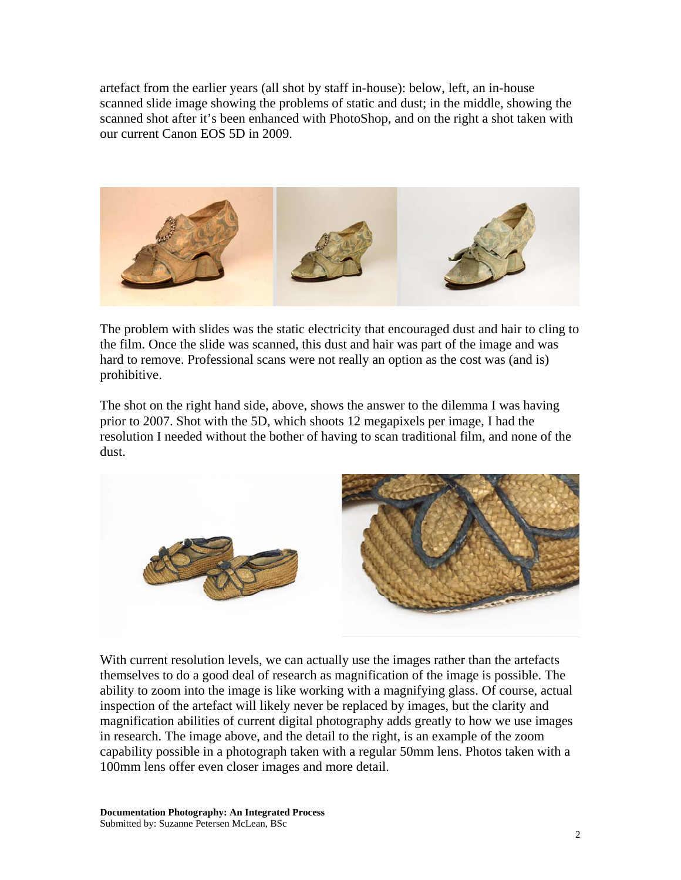artefact from the earlier years (all shot by staff in-house): below, left, an in-house scanned slide image showing the problems of static and dust; in the middle, showing the scanned shot after it's been enhanced with PhotoShop, and on the right a shot taken with our current Canon EOS 5D in 2009.



The problem with slides was the static electricity that encouraged dust and hair to cling to the film. Once the slide was scanned, this dust and hair was part of the image and was hard to remove. Professional scans were not really an option as the cost was (and is) prohibitive.

The shot on the right hand side, above, shows the answer to the dilemma I was having prior to 2007. Shot with the 5D, which shoots 12 megapixels per image, I had the resolution I needed without the bother of having to scan traditional film, and none of the dust.



With current resolution levels, we can actually use the images rather than the artefacts themselves to do a good deal of research as magnification of the image is possible. The ability to zoom into the image is like working with a magnifying glass. Of course, actual inspection of the artefact will likely never be replaced by images, but the clarity and magnification abilities of current digital photography adds greatly to how we use images in research. The image above, and the detail to the right, is an example of the zoom capability possible in a photograph taken with a regular 50mm lens. Photos taken with a 100mm lens offer even closer images and more detail.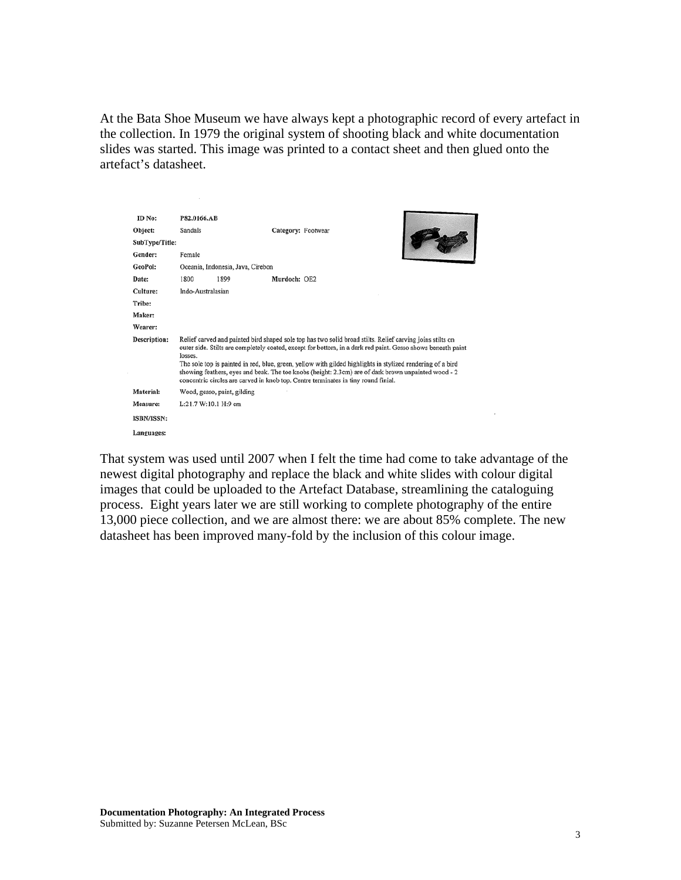At the Bata Shoe Museum we have always kept a photographic record of every artefact in the collection. In 1979 the original system of shooting black and white documentation slides was started. This image was printed to a contact sheet and then glued onto the artefact's datasheet.

| ID No:         | P82.0166.AB                                                                                                                                                                                                                                                                                                                                                                                                                                                                                                                                    |                    |  |  |  |
|----------------|------------------------------------------------------------------------------------------------------------------------------------------------------------------------------------------------------------------------------------------------------------------------------------------------------------------------------------------------------------------------------------------------------------------------------------------------------------------------------------------------------------------------------------------------|--------------------|--|--|--|
| Object:        | Sandals                                                                                                                                                                                                                                                                                                                                                                                                                                                                                                                                        | Category: Footwear |  |  |  |
| SubType/Title: |                                                                                                                                                                                                                                                                                                                                                                                                                                                                                                                                                |                    |  |  |  |
| Gender:        | Female                                                                                                                                                                                                                                                                                                                                                                                                                                                                                                                                         |                    |  |  |  |
| GeoPol:        | Oceania, Indonesia, Java, Cirebon                                                                                                                                                                                                                                                                                                                                                                                                                                                                                                              |                    |  |  |  |
| Date:          | 1800<br>1899                                                                                                                                                                                                                                                                                                                                                                                                                                                                                                                                   | Murdoch: OE2       |  |  |  |
| Culture:       | Indo-Australasian                                                                                                                                                                                                                                                                                                                                                                                                                                                                                                                              |                    |  |  |  |
| Tribe:         |                                                                                                                                                                                                                                                                                                                                                                                                                                                                                                                                                |                    |  |  |  |
| Maker:         |                                                                                                                                                                                                                                                                                                                                                                                                                                                                                                                                                |                    |  |  |  |
| Wearer:        |                                                                                                                                                                                                                                                                                                                                                                                                                                                                                                                                                |                    |  |  |  |
| Description:   | Relief carved and painted bird shaped sole top has two solid broad stilts. Relief carving joins stilts on<br>outer side. Stilts are completely coated, except for bottom, in a dark red paint. Gesso shows beneath paint<br>losses.<br>The sole top is painted in red, blue, green, yellow with gilded highlights in stylized rendering of a bird<br>showing feathers, eyes and beak. The toe knobs (height: 2.3cm) are of dark brown unpainted wood - 2<br>concentric circles are carved in knob top. Centre terminates in tiny round finial. |                    |  |  |  |
| Material:      | Wood, gesso, paint, gilding                                                                                                                                                                                                                                                                                                                                                                                                                                                                                                                    |                    |  |  |  |
| Measure:       | L:21.7 W:10.1 H:9 cm                                                                                                                                                                                                                                                                                                                                                                                                                                                                                                                           |                    |  |  |  |
| ISBN/ISSN:     |                                                                                                                                                                                                                                                                                                                                                                                                                                                                                                                                                |                    |  |  |  |
| Languages:     |                                                                                                                                                                                                                                                                                                                                                                                                                                                                                                                                                |                    |  |  |  |

 $\sim$ 

That system was used until 2007 when I felt the time had come to take advantage of the newest digital photography and replace the black and white slides with colour digital images that could be uploaded to the Artefact Database, streamlining the cataloguing process. Eight years later we are still working to complete photography of the entire 13,000 piece collection, and we are almost there: we are about 85% complete. The new datasheet has been improved many-fold by the inclusion of this colour image.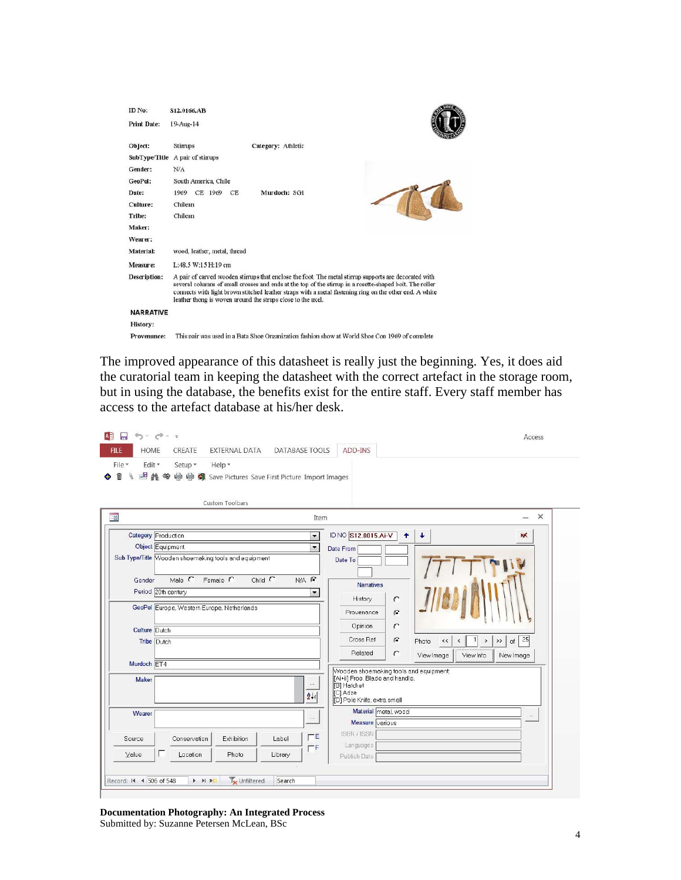| ID No:<br><b>Print Date:</b> | S12.0166.AB<br>19-Aug-14                                                                                                                                                                                                                                                                                                                                                                    |  |  |  |  |
|------------------------------|---------------------------------------------------------------------------------------------------------------------------------------------------------------------------------------------------------------------------------------------------------------------------------------------------------------------------------------------------------------------------------------------|--|--|--|--|
| Object:                      | Category: Athletic<br>Stirrups                                                                                                                                                                                                                                                                                                                                                              |  |  |  |  |
| SubType/Title                | A pair of stimups                                                                                                                                                                                                                                                                                                                                                                           |  |  |  |  |
| Gender:                      | N/A                                                                                                                                                                                                                                                                                                                                                                                         |  |  |  |  |
| GeoPol:                      | South America, Chile                                                                                                                                                                                                                                                                                                                                                                        |  |  |  |  |
| Date:                        | Murdoch: SG1<br>CE 1969<br>CE.<br>1969                                                                                                                                                                                                                                                                                                                                                      |  |  |  |  |
| Culture:                     | Chilean                                                                                                                                                                                                                                                                                                                                                                                     |  |  |  |  |
| Tribe:                       | Chilean                                                                                                                                                                                                                                                                                                                                                                                     |  |  |  |  |
| Maker:                       |                                                                                                                                                                                                                                                                                                                                                                                             |  |  |  |  |
| Wearer:                      |                                                                                                                                                                                                                                                                                                                                                                                             |  |  |  |  |
| Material:                    | wood, leather, metal, thread                                                                                                                                                                                                                                                                                                                                                                |  |  |  |  |
| Measure:                     | L:48.5 W:15 H:19 cm                                                                                                                                                                                                                                                                                                                                                                         |  |  |  |  |
| Description:                 | A pair of carved wooden stirrups that enclose the foot. The metal stirrup supports are decorated with<br>several columns of small crosses and ends at the top of the stirrup in a rosette-shaped bolt. The roller<br>connects with light brown stitched leather straps with a metal fastening ring on the other end. A white<br>leather thong is woven around the straps close to the axel. |  |  |  |  |
| <b>NARRATIVE</b>             |                                                                                                                                                                                                                                                                                                                                                                                             |  |  |  |  |
| <b>History:</b>              |                                                                                                                                                                                                                                                                                                                                                                                             |  |  |  |  |
| Provenance:                  | This pair was used in a Bata Shoe Organization fashion show at World Shoe Con 1969 of complete                                                                                                                                                                                                                                                                                              |  |  |  |  |

The improved appearance of this datasheet is really just the beginning. Yes, it does aid the curatorial team in keeping the datasheet with the correct artefact in the storage room, but in using the database, the benefits exist for the entire staff. Every staff member has access to the artefact database at his/her desk.

| <b>HOME</b><br><b>EXTERNAL DATA</b><br>CREATE<br><b>FILE</b><br>File *<br>Edit -<br>Setup *<br>Help -<br>■ A ● 导 争 Save Pictures Save First Picture Import Images<br>m<br>X                                                                                                                    | <b>DATABASE TOOLS</b><br><b>ADD-INS</b>                                                                                                                                                                                                                                                                                                                                                                                                                               |                                                    |
|------------------------------------------------------------------------------------------------------------------------------------------------------------------------------------------------------------------------------------------------------------------------------------------------|-----------------------------------------------------------------------------------------------------------------------------------------------------------------------------------------------------------------------------------------------------------------------------------------------------------------------------------------------------------------------------------------------------------------------------------------------------------------------|----------------------------------------------------|
| Custom Toolbars<br>围                                                                                                                                                                                                                                                                           | Item                                                                                                                                                                                                                                                                                                                                                                                                                                                                  | $\times$                                           |
| <b>Category Production</b><br>Object Equipment<br>Sub Type/Title Wooden shoemaking tools and equipment<br>Male $\Gamma$<br>Child $C$<br>Female C<br>Gender<br>Period 20th century<br>GeoPol Europe, Western Europe, Netherlands<br>Culture Dutch<br>Tribe Dutch<br>Murdoch ET4<br><b>Maker</b> | ID NO S12.0015.Ai-V<br>$\ddotmark$<br>$\bullet$<br>$\overline{\phantom{0}}$<br>$\blacktriangledown$<br>Date From<br>Date To<br>$N/A$ $G$<br><b>Narratives</b><br>$\blacktriangledown$<br>History<br>$\mathcal{C}$<br>G<br>Provenance<br>$\epsilon$<br>Opinion<br>Cross Ref<br>$\Gamma$<br>Photo<br>$\prec\!\prec$<br>$\overline{\phantom{a}}$<br>Related<br>C<br>View Image<br>View Info<br>Wooden shoemaking tools and equipment:<br>[Ai+ii] Froe. Blade and handle. | ж<br>25<br>>><br>$\rightarrow$<br>of.<br>New Image |
| Wearer                                                                                                                                                                                                                                                                                         | $\cdots$<br>[B] Hatchet<br>[C] Adze<br>$2+$<br>[D] Pole Knife, extra small<br>Material metal, wood<br>$\cdots$                                                                                                                                                                                                                                                                                                                                                        | $\cdots$                                           |
| Exhibition<br>Conservation<br>Label<br>Source<br>E<br>Value<br>Location<br>Photo<br>Library                                                                                                                                                                                                    | Measure various<br>ISBN / ISSN<br>$\Gamma$ E<br>Languages<br>$\Gamma$ F<br>Publish Date                                                                                                                                                                                                                                                                                                                                                                               |                                                    |

**Documentation Photography: An Integrated Process**  Submitted by: Suzanne Petersen McLean, BSc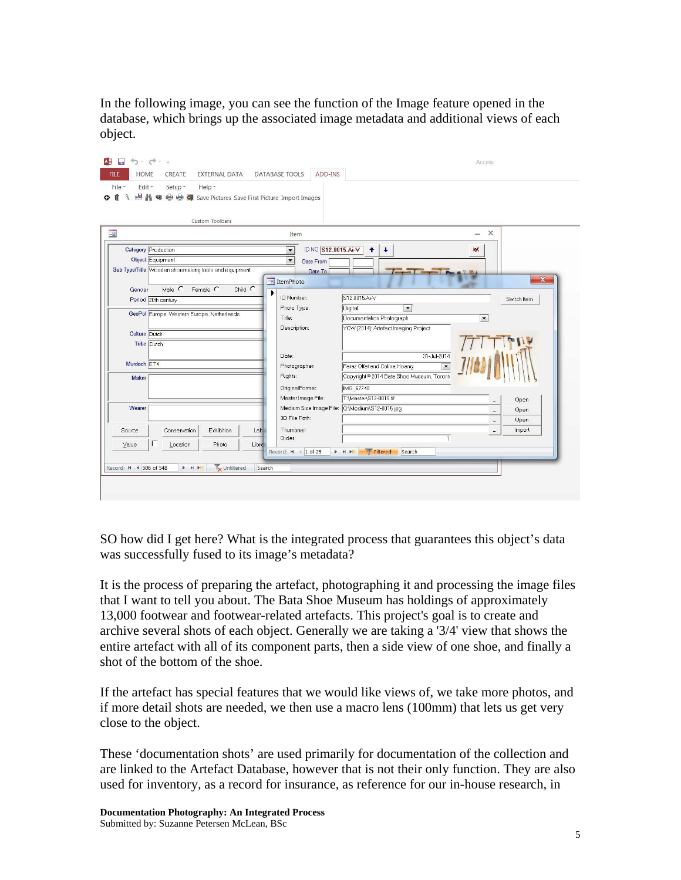In the following image, you can see the function of the Image feature opened in the database, which brings up the associated image metadata and additional views of each object.

| $5 - 7 - 7$<br>П<br><b>HOME</b><br>CREATE<br><b>EXTERNAL DATA</b><br><b>FILE</b><br>File -<br>Edit -<br>Setup ~<br>Help -<br>■ A ● B 图 Save Pictures Save First Picture Import Images<br>Ĥ<br>Custom Toolbars | DATABASE TOOLS<br>ADD-INS                                                                                              |                                                                                                                      | Access                                               |
|---------------------------------------------------------------------------------------------------------------------------------------------------------------------------------------------------------------|------------------------------------------------------------------------------------------------------------------------|----------------------------------------------------------------------------------------------------------------------|------------------------------------------------------|
| 39                                                                                                                                                                                                            | Item                                                                                                                   |                                                                                                                      | $\times$<br>$\overline{\phantom{0}}$                 |
| <b>Category Production</b><br><b>Object Equipment</b><br>Sub Type/Title Wooden shoemaking tools and equipment                                                                                                 | ID NO S12.0015.Ai-V<br>$\overline{\phantom{0}}$<br>$\blacktriangledown$<br>Date From<br>Date To<br><b>EB</b> ItemPhoto | $\ddotmark$<br>$\ddot{\phantom{1}}$                                                                                  | ж<br>$\mathbf{x}$                                    |
| Child $\overline{C}$<br>Male $C$ Female $C$<br>Gender<br>Period 20th century                                                                                                                                  | ▶<br>ID Number:<br>Photo Type:<br>Digital                                                                              | S12.0015.Ai-V<br>$\overline{\phantom{0}}$                                                                            | Switch Item                                          |
| GeoPol Europe, Western Europe, Netherlands<br>Culture Dutch<br>Tribe Dutch                                                                                                                                    | Title:<br>Description:                                                                                                 | Documentation Photograph<br>YCW (2014): Artefact Imaging Project                                                     | $\blacktriangledown$                                 |
| Murdoch ET4<br><b>Maker</b>                                                                                                                                                                                   | Date:<br>Photographer:<br>Rights:                                                                                      | 31-Jul-2014<br>$\overline{\phantom{a}}$<br>Faraz Olfat and Celina Hoang<br>Copyright @ 2014 Bata Shoe Museum, Toront |                                                      |
| Wearer                                                                                                                                                                                                        | OriginalFormat:<br>Master Image File:<br>Medium Size Image File:<br>3D File Path:                                      | IMG 67740<br>T:\Master\S12-0015.tif<br>Q:\Medium\S12-0015.jpg                                                        | Open<br>$\cdots$<br>Open<br>$\sim$<br>Open<br>$\sim$ |
| Exhibition<br>Conservation<br>Source<br>Lab<br>Location<br>Value<br>Photo<br>Libre                                                                                                                            | Thumbnail:<br>Order:                                                                                                   | $\mathbf{1}$                                                                                                         | Import<br>$\ldots$                                   |
| Unfiltered<br>Record: M 4 506 of 548<br>$\triangleright$ $\triangleright$ $\triangleright$ $\rightarrow$<br>Search                                                                                            | Record: 14 4 1 of 25<br>$\blacktriangleright$ $\blacktriangleright$ $\blacktriangleright$ $\blacktriangleright$        | Filtered<br>Search                                                                                                   |                                                      |

SO how did I get here? What is the integrated process that guarantees this object's data was successfully fused to its image's metadata?

It is the process of preparing the artefact, photographing it and processing the image files that I want to tell you about. The Bata Shoe Museum has holdings of approximately 13,000 footwear and footwear-related artefacts. This project's goal is to create and archive several shots of each object. Generally we are taking a '3/4' view that shows the entire artefact with all of its component parts, then a side view of one shoe, and finally a shot of the bottom of the shoe.

If the artefact has special features that we would like views of, we take more photos, and if more detail shots are needed, we then use a macro lens (100mm) that lets us get very close to the object.

These 'documentation shots' are used primarily for documentation of the collection and are linked to the Artefact Database, however that is not their only function. They are also used for inventory, as a record for insurance, as reference for our in-house research, in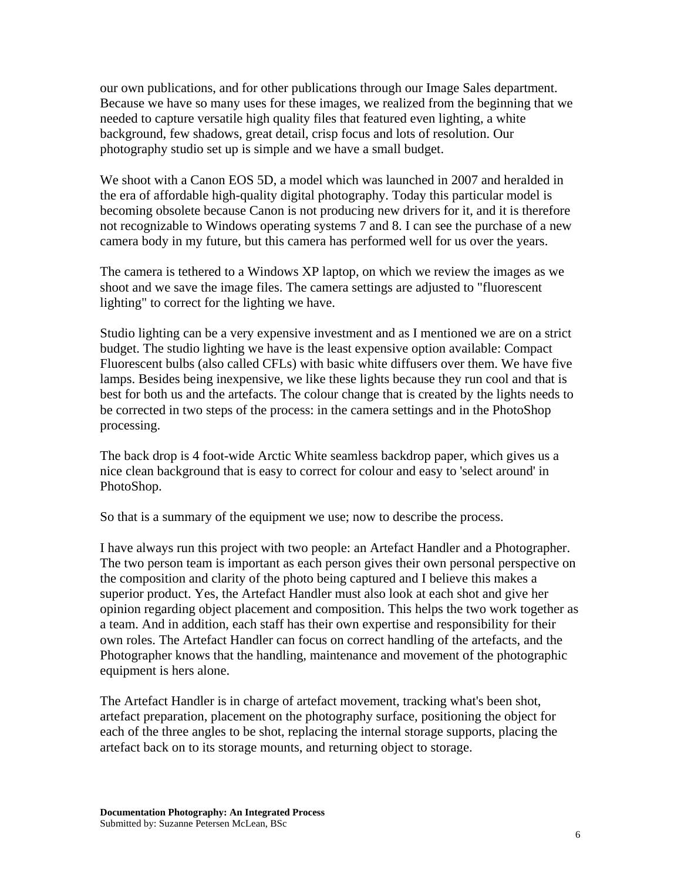our own publications, and for other publications through our Image Sales department. Because we have so many uses for these images, we realized from the beginning that we needed to capture versatile high quality files that featured even lighting, a white background, few shadows, great detail, crisp focus and lots of resolution. Our photography studio set up is simple and we have a small budget.

We shoot with a Canon EOS 5D, a model which was launched in 2007 and heralded in the era of affordable high-quality digital photography. Today this particular model is becoming obsolete because Canon is not producing new drivers for it, and it is therefore not recognizable to Windows operating systems 7 and 8. I can see the purchase of a new camera body in my future, but this camera has performed well for us over the years.

The camera is tethered to a Windows XP laptop, on which we review the images as we shoot and we save the image files. The camera settings are adjusted to "fluorescent lighting" to correct for the lighting we have.

Studio lighting can be a very expensive investment and as I mentioned we are on a strict budget. The studio lighting we have is the least expensive option available: Compact Fluorescent bulbs (also called CFLs) with basic white diffusers over them. We have five lamps. Besides being inexpensive, we like these lights because they run cool and that is best for both us and the artefacts. The colour change that is created by the lights needs to be corrected in two steps of the process: in the camera settings and in the PhotoShop processing.

The back drop is 4 foot-wide Arctic White seamless backdrop paper, which gives us a nice clean background that is easy to correct for colour and easy to 'select around' in PhotoShop.

So that is a summary of the equipment we use; now to describe the process.

I have always run this project with two people: an Artefact Handler and a Photographer. The two person team is important as each person gives their own personal perspective on the composition and clarity of the photo being captured and I believe this makes a superior product. Yes, the Artefact Handler must also look at each shot and give her opinion regarding object placement and composition. This helps the two work together as a team. And in addition, each staff has their own expertise and responsibility for their own roles. The Artefact Handler can focus on correct handling of the artefacts, and the Photographer knows that the handling, maintenance and movement of the photographic equipment is hers alone.

The Artefact Handler is in charge of artefact movement, tracking what's been shot, artefact preparation, placement on the photography surface, positioning the object for each of the three angles to be shot, replacing the internal storage supports, placing the artefact back on to its storage mounts, and returning object to storage.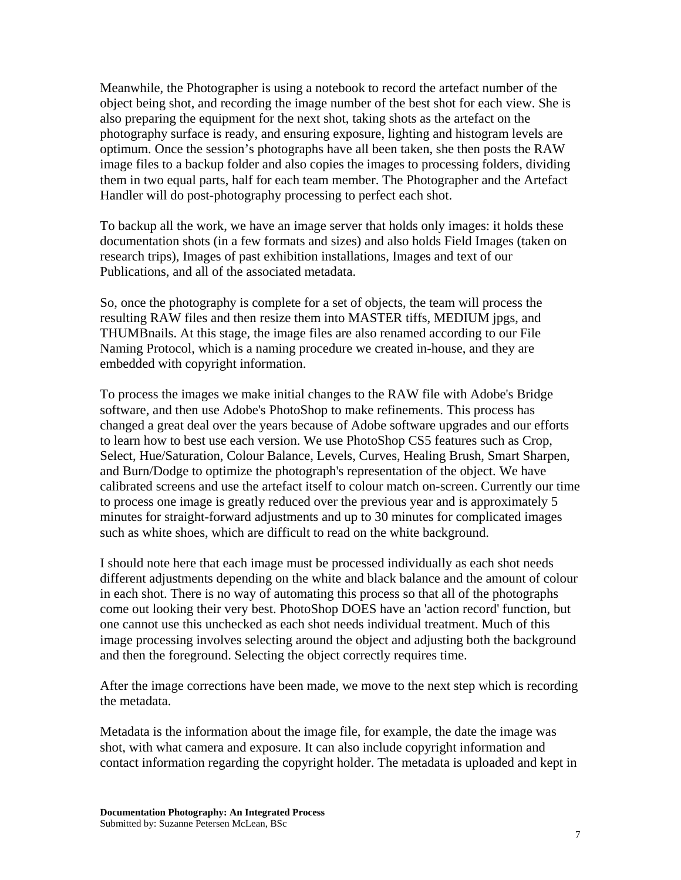Meanwhile, the Photographer is using a notebook to record the artefact number of the object being shot, and recording the image number of the best shot for each view. She is also preparing the equipment for the next shot, taking shots as the artefact on the photography surface is ready, and ensuring exposure, lighting and histogram levels are optimum. Once the session's photographs have all been taken, she then posts the RAW image files to a backup folder and also copies the images to processing folders, dividing them in two equal parts, half for each team member. The Photographer and the Artefact Handler will do post-photography processing to perfect each shot.

To backup all the work, we have an image server that holds only images: it holds these documentation shots (in a few formats and sizes) and also holds Field Images (taken on research trips), Images of past exhibition installations, Images and text of our Publications, and all of the associated metadata.

So, once the photography is complete for a set of objects, the team will process the resulting RAW files and then resize them into MASTER tiffs, MEDIUM jpgs, and THUMBnails. At this stage, the image files are also renamed according to our File Naming Protocol, which is a naming procedure we created in-house, and they are embedded with copyright information.

To process the images we make initial changes to the RAW file with Adobe's Bridge software, and then use Adobe's PhotoShop to make refinements. This process has changed a great deal over the years because of Adobe software upgrades and our efforts to learn how to best use each version. We use PhotoShop CS5 features such as Crop, Select, Hue/Saturation, Colour Balance, Levels, Curves, Healing Brush, Smart Sharpen, and Burn/Dodge to optimize the photograph's representation of the object. We have calibrated screens and use the artefact itself to colour match on-screen. Currently our time to process one image is greatly reduced over the previous year and is approximately 5 minutes for straight-forward adjustments and up to 30 minutes for complicated images such as white shoes, which are difficult to read on the white background.

I should note here that each image must be processed individually as each shot needs different adjustments depending on the white and black balance and the amount of colour in each shot. There is no way of automating this process so that all of the photographs come out looking their very best. PhotoShop DOES have an 'action record' function, but one cannot use this unchecked as each shot needs individual treatment. Much of this image processing involves selecting around the object and adjusting both the background and then the foreground. Selecting the object correctly requires time.

After the image corrections have been made, we move to the next step which is recording the metadata.

Metadata is the information about the image file, for example, the date the image was shot, with what camera and exposure. It can also include copyright information and contact information regarding the copyright holder. The metadata is uploaded and kept in